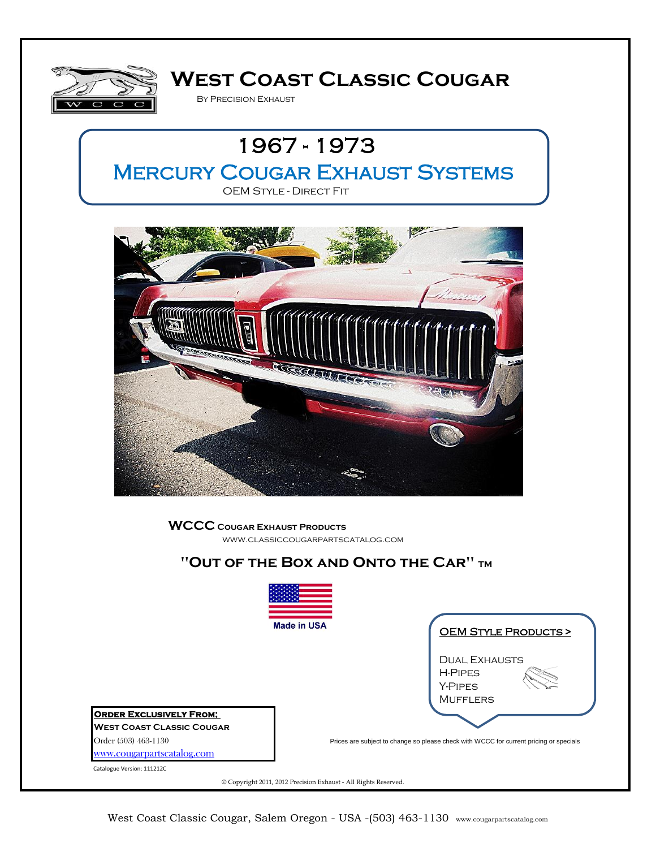

# **West Coast Classic Cougar**

By Precision Exhaust





**WCCC Cougar Exhaust Products** www.classiccougarpartscatalog.com

### **"Out of the Box and Onto the Car" TM**



Catalogue Version: 111212C

© Copyright 2011, 2012 Precision Exhaust - All Rights Reserved.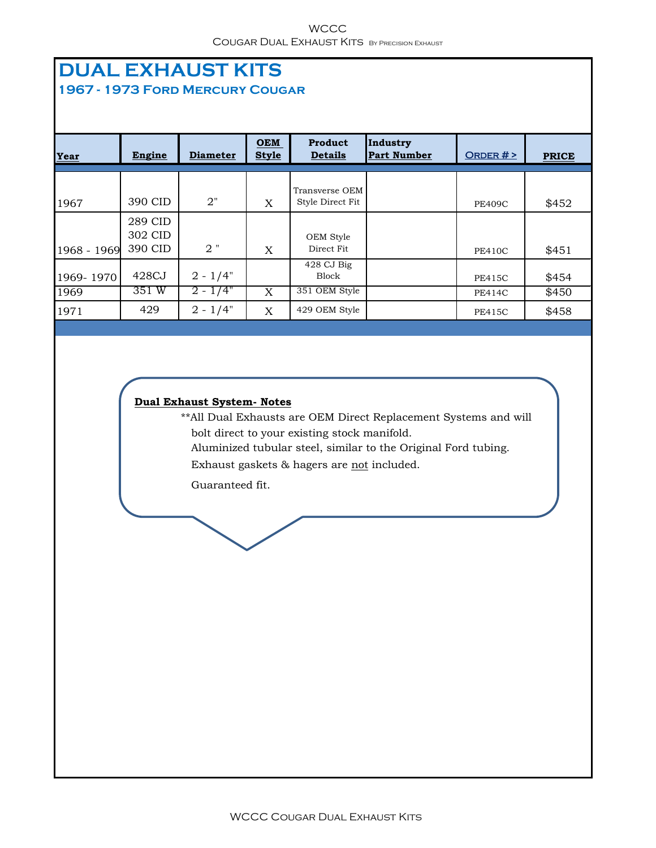#### **WCCC** COUGAR DUAL EXHAUST KITS BY PRECISION EXHAUST

### **DUAL EXHAUST KITS 1967 - 1973 Ford Mercury Cougar**

| Year        | Engine                        | <b>Diameter</b> | $ORM$<br><b>Style</b> | Product<br><b>Details</b>          | Industry<br><b>Part Number</b> | ORDER $#$ >   | <b>PRICE</b> |
|-------------|-------------------------------|-----------------|-----------------------|------------------------------------|--------------------------------|---------------|--------------|
| 1967        | 390 CID                       | 2"              | X                     | Transverse OEM<br>Style Direct Fit |                                | <b>PE409C</b> | \$452        |
| 1968 - 1969 | 289 CID<br>302 CID<br>390 CID | $2$ "           | X                     | OEM Style<br>Direct Fit            |                                | <b>PE410C</b> | \$451        |
| 1969-1970   | 428CJ                         | $2 - 1/4"$      |                       | 428 CJ Big<br><b>Block</b>         |                                | <b>PE415C</b> | \$454        |
| 1969        | 351 W                         | $2 - 1/4"$      | X                     | 351 OEM Style                      |                                | <b>PE414C</b> | \$450        |
| 1971        | 429                           | $2 - 1/4"$      | X                     | 429 OEM Style                      |                                | <b>PE415C</b> | \$458        |

#### **Dual Exhaust System- Notes**

\*\*All Dual Exhausts are OEM Direct Replacement Systems and will bolt direct to your existing stock manifold.

Aluminized tubular steel, similar to the Original Ford tubing.

Exhaust gaskets & hagers are not included.

Guaranteed fit.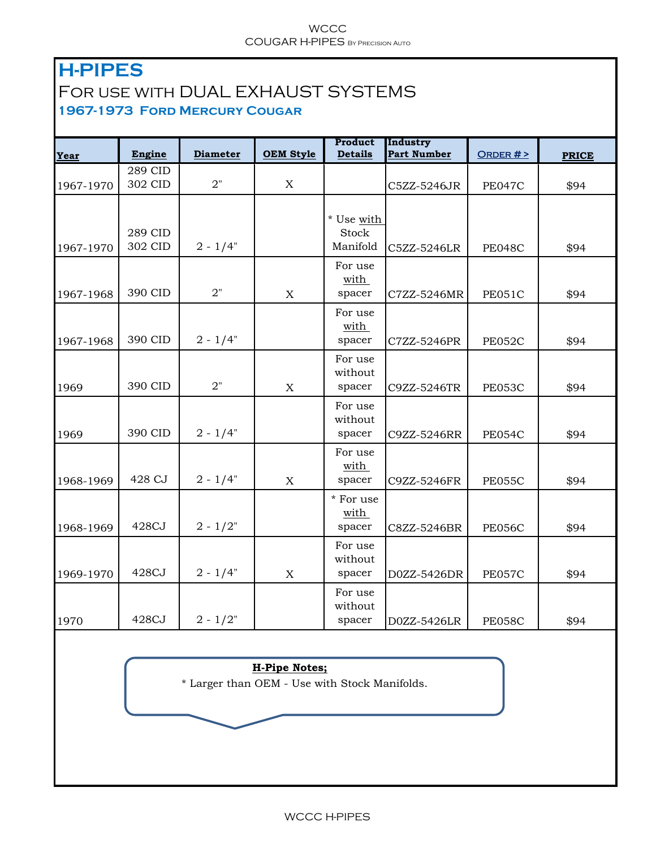#### **WCCC** COUGAR H-PIPES By Precision Auto

# **H-PIPES**  For use with DUAL EXHAUST SYSTEMS **1967-1973 Ford Mercury Cougar**

| Year      | Engine  | <b>Diameter</b> | <b>OEM Style</b> | Product<br><b>Details</b> | Industry<br><b>Part Number</b> | ORDER $#$ >   | <b>PRICE</b> |
|-----------|---------|-----------------|------------------|---------------------------|--------------------------------|---------------|--------------|
|           | 289 CID |                 |                  |                           |                                |               |              |
| 1967-1970 | 302 CID | 2"              | $\mathbf X$      |                           | C5ZZ-5246JR                    | <b>PE047C</b> | \$94         |
|           |         |                 |                  |                           |                                |               |              |
|           |         |                 |                  | * Use with                |                                |               |              |
|           | 289 CID |                 |                  | <b>Stock</b>              |                                |               |              |
| 1967-1970 | 302 CID | $2 - 1/4"$      |                  | Manifold                  | C5ZZ-5246LR                    | <b>PE048C</b> | \$94         |
|           |         |                 |                  | For use                   |                                |               |              |
|           |         |                 |                  | with                      |                                |               |              |
| 1967-1968 | 390 CID | 2"              | $\mathbf X$      | spacer                    | C7ZZ-5246MR                    | <b>PE051C</b> | \$94         |
|           |         |                 |                  | For use                   |                                |               |              |
|           |         |                 |                  | with                      |                                |               |              |
| 1967-1968 | 390 CID | $2 - 1/4"$      |                  | spacer                    | C7ZZ-5246PR                    | PE052C        | \$94         |
|           |         |                 |                  | For use                   |                                |               |              |
|           |         |                 |                  | without                   |                                |               |              |
| 1969      | 390 CID | 2"              | $\mathbf X$      | spacer                    | C9ZZ-5246TR                    | <b>PE053C</b> | \$94         |
|           |         |                 |                  | For use                   |                                |               |              |
|           |         |                 |                  | without                   |                                |               |              |
| 1969      | 390 CID | $2 - 1/4"$      |                  | spacer                    | C9ZZ-5246RR                    | <b>PE054C</b> | \$94         |
|           |         |                 |                  | For use                   |                                |               |              |
|           |         |                 |                  | with                      |                                |               |              |
| 1968-1969 | 428 CJ  | $2 - 1/4"$      | $\mathbf X$      | spacer                    | C9ZZ-5246FR                    | <b>PE055C</b> | \$94         |
|           |         |                 |                  | * For use                 |                                |               |              |
|           |         |                 |                  | with                      |                                |               |              |
| 1968-1969 | 428CJ   | $2 - 1/2"$      |                  | spacer                    | C8ZZ-5246BR                    | <b>PE056C</b> | \$94         |
|           |         |                 |                  | For use                   |                                |               |              |
|           |         |                 |                  | without                   |                                |               |              |
| 1969-1970 | 428CJ   | $2 - 1/4"$      | $\mathbf X$      | spacer                    | D0ZZ-5426DR                    | <b>PE057C</b> | \$94         |
|           |         |                 |                  | For use                   |                                |               |              |
|           |         |                 |                  | without                   |                                |               |              |
| 1970      | 428CJ   | $2 - 1/2"$      |                  | spacer                    | D0ZZ-5426LR                    | <b>PE058C</b> | \$94         |

#### **H-Pipe Notes;**

\* Larger than OEM - Use with Stock Manifolds.

#### WCCC H-PIPES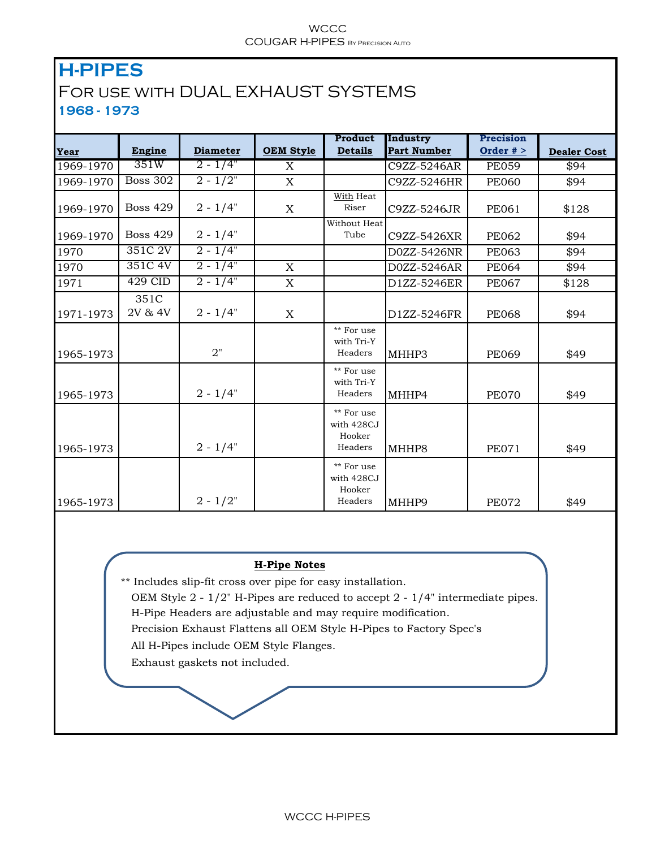#### **WCCC** COUGAR H-PIPES By Precision Auto

### **H-PIPES**  For use with DUAL EXHAUST SYSTEMS **1968 - 1973**

|           |                 |                 |                  | Product                                       | Industry           | Precision    |                    |
|-----------|-----------------|-----------------|------------------|-----------------------------------------------|--------------------|--------------|--------------------|
| Year      | Engine          | <b>Diameter</b> | <b>OEM Style</b> | <b>Details</b>                                | <b>Part Number</b> | Order $#$ >  | <b>Dealer Cost</b> |
| 1969-1970 | 351W            | $2 - 1/4"$      | X                |                                               | C9ZZ-5246AR        | <b>PE059</b> | \$94               |
| 1969-1970 | <b>Boss 302</b> | $2 - 1/2"$      | $\mathbf X$      |                                               | C9ZZ-5246HR        | <b>PE060</b> | \$94               |
| 1969-1970 | <b>Boss 429</b> | $2 - 1/4"$      | X                | <b>With Heat</b><br>Riser                     | C9ZZ-5246JR        | <b>PE061</b> | \$128              |
| 1969-1970 | <b>Boss 429</b> | $2 - 1/4"$      |                  | Without Heat<br>Tube                          | C9ZZ-5426XR        | <b>PE062</b> | \$94               |
| 1970      | 351C 2V         | $2 - 1/4"$      |                  |                                               | D0ZZ-5426NR        | <b>PE063</b> | \$94               |
| 1970      | 351C 4V         | $2 - 1/4"$      | $\mathbf X$      |                                               | D0ZZ-5246AR        | <b>PE064</b> | \$94               |
| 1971      | 429 CID         | $2 - 1/4"$      | X                |                                               | D1ZZ-5246ER        | <b>PE067</b> | \$128              |
| 1971-1973 | 351C<br>2V & 4V | $2 - 1/4"$      | X                |                                               | D1ZZ-5246FR        | <b>PE068</b> | \$94               |
| 1965-1973 |                 | 2"              |                  | ** For use<br>with Tri-Y<br>Headers           | MHHP3              | <b>PE069</b> | \$49               |
| 1965-1973 |                 | $2 - 1/4"$      |                  | ** For use<br>with Tri-Y<br>Headers           | MHHP4              | <b>PE070</b> | \$49               |
| 1965-1973 |                 | $2 - 1/4"$      |                  | ** For use<br>with 428CJ<br>Hooker<br>Headers | MHHP8              | <b>PE071</b> | \$49               |
| 1965-1973 |                 | $2 - 1/2"$      |                  | ** For use<br>with 428CJ<br>Hooker<br>Headers | MHHP9              | <b>PE072</b> | \$49               |

#### **H-Pipe Notes**

\*\* Includes slip-fit cross over pipe for easy installation.

 OEM Style 2 - 1/2" H-Pipes are reduced to accept 2 - 1/4" intermediate pipes. H-Pipe Headers are adjustable and may require modification.

Precision Exhaust Flattens all OEM Style H-Pipes to Factory Spec's

All H-Pipes include OEM Style Flanges.

Exhaust gaskets not included.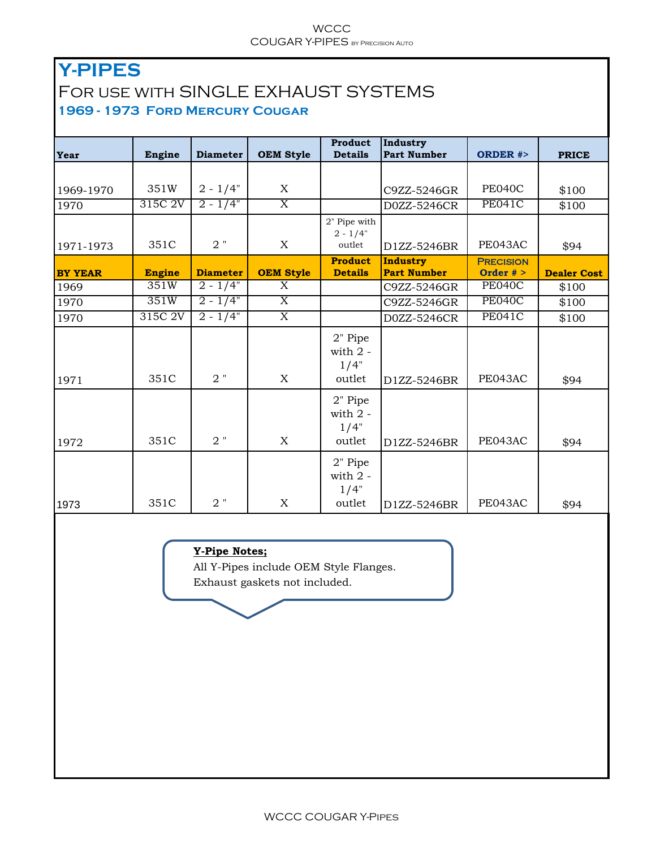#### **WCCC** COUGAR Y-PIPES BY PRECISION AUTO

# **Y-PIPES**  For use with SINGLE EXHAUST SYSTEMS **1969 - 1973 Ford Mercury Cougar**

| Year           | Engine        | <b>Diameter</b> | <b>OEM Style</b>          | Product<br><b>Details</b>                    | Industry<br><b>Part Number</b>        | <b>ORDER #&gt;</b>              | <b>PRICE</b>       |
|----------------|---------------|-----------------|---------------------------|----------------------------------------------|---------------------------------------|---------------------------------|--------------------|
|                |               |                 |                           |                                              |                                       |                                 |                    |
| 1969-1970      | 351W          | $2 - 1/4"$      | X                         |                                              | C9ZZ-5246GR                           | <b>PE040C</b>                   | \$100              |
| 1970           | 315C 2V       | $2 - 1/4"$      | $\overline{\mathrm{X}}$   |                                              | D0ZZ-5246CR                           | <b>PE041C</b>                   | \$100              |
| 1971-1973      | 351C          | $2$ "           | X                         | 2" Pipe with<br>$2 - 1/4"$<br>outlet         | D1ZZ-5246BR                           |                                 | \$94               |
| <b>BY YEAR</b> | <b>Engine</b> | <b>Diameter</b> | <b>OEM Style</b>          | <b>Product</b><br><b>Details</b>             | <b>Industry</b><br><b>Part Number</b> | <b>PRECISION</b><br>Order $#$ > | <b>Dealer Cost</b> |
| 1969           | 351W          | $2 - 1/4"$      | $\overline{\mathrm{X}}$   |                                              | C9ZZ-5246GR                           | <b>PE040C</b>                   | \$100              |
| 1970           | 351W          | $2 - 1/4"$      | $\overline{\mathrm{X}}$   |                                              | C9ZZ-5246GR                           | <b>PE040C</b>                   | \$100              |
| 1970           | 315C 2V       | $2 - 1/4"$      | $\overline{X}$            |                                              | D0ZZ-5246CR                           | <b>PE041C</b>                   | \$100              |
| 1971           | 351C          | $2$ "           | X                         | 2" Pipe<br>with $2 -$<br>1/4"<br>outlet      | D1ZZ-5246BR                           | PE043AC                         | \$94               |
| 1972           | 351C          | $2$ "           | X                         | 2" Pipe<br>with $2 -$<br>1/4"<br>outlet      | D1ZZ-5246BR                           | PE043AC                         | \$94               |
| 1973           | 351C          | $2$ "           | $\boldsymbol{\mathrm{X}}$ | 2" Pipe<br>with $2$ - $\,$<br>1/4"<br>outlet | D1ZZ-5246BR                           | PE043AC                         | \$94               |

#### **Y-Pipe Notes;**

All Y-Pipes include OEM Style Flanges.

Exhaust gaskets not included.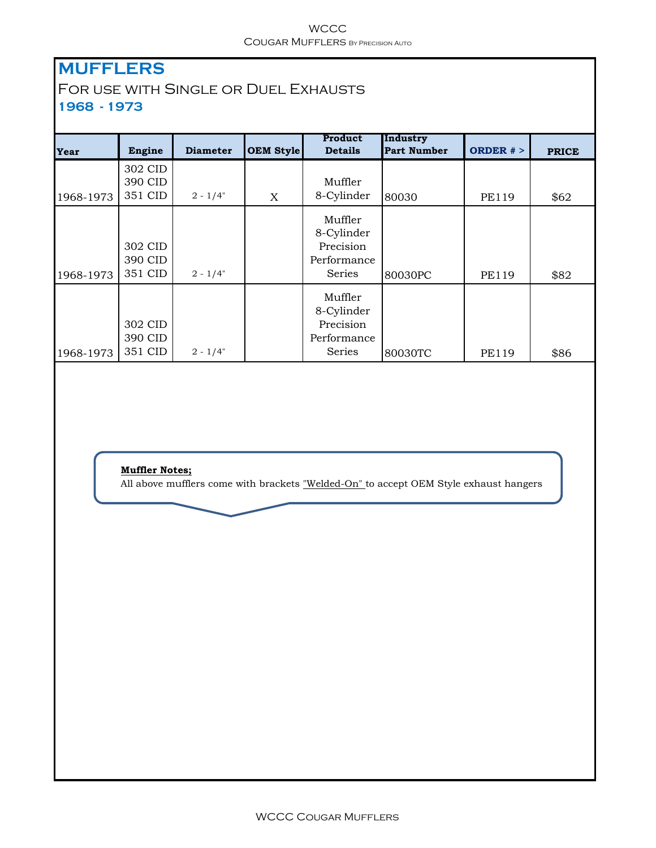#### **WCCC** Cougar Mufflers By Precision Auto

# **MUFFLERS**

### For use with Single or Duel Exhausts **1968 - 1973**

| Year      | Engine                        | <b>Diameter</b> | <b>OEM Style</b> | Product<br><b>Details</b>                                          | Industry<br><b>Part Number</b> | ORDER $#$ >  | <b>PRICE</b> |
|-----------|-------------------------------|-----------------|------------------|--------------------------------------------------------------------|--------------------------------|--------------|--------------|
| 1968-1973 | 302 CID<br>390 CID<br>351 CID | $2 - 1/4"$      | X                | Muffler<br>8-Cylinder                                              | 80030                          | <b>PE119</b> | \$62         |
| 1968-1973 | 302 CID<br>390 CID<br>351 CID | $2 - 1/4"$      |                  | Muffler<br>8-Cylinder<br>Precision<br>Performance<br><b>Series</b> | 80030PC                        | <b>PE119</b> | \$82         |
| 1968-1973 | 302 CID<br>390 CID<br>351 CID | $2 - 1/4"$      |                  | Muffler<br>8-Cylinder<br>Precision<br>Performance<br>Series        | 80030TC                        | <b>PE119</b> | \$86         |

**Muffler Notes;**

All above mufflers come with brackets "Welded-On" to accept OEM Style exhaust hangers